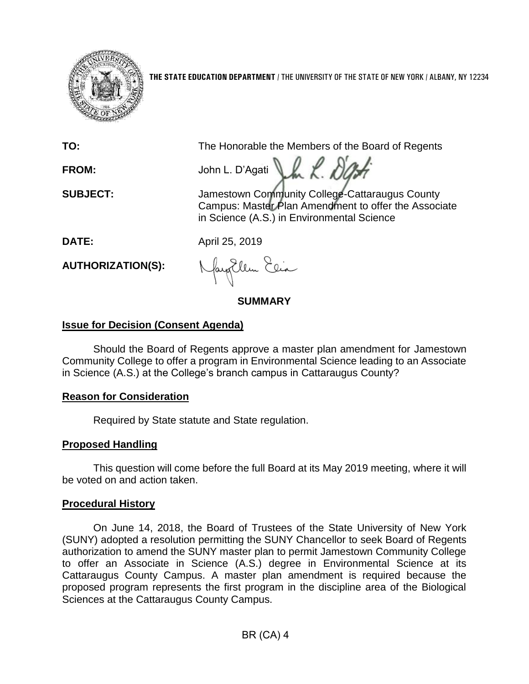

**THE STATE EDUCATION DEPARTMENT** / THE UNIVERSITY OF THE STATE OF NEW YORK / ALBANY, NY 12234

**TO:** The Honorable the Members of the Board of Regents

**FROM:** John L. D'Agati LA R. DL

**SUBJECT:** Jamestown Community College-Cattaraugus County Campus: Master Plan Amendment to offer the Associate in Science (A.S.) in Environmental Science

**DATE:** April 25, 2019

**AUTHORIZATION(S):**

Nagollem Elia

**SUMMARY**

## **Issue for Decision (Consent Agenda)**

Should the Board of Regents approve a master plan amendment for Jamestown Community College to offer a program in Environmental Science leading to an Associate in Science (A.S.) at the College's branch campus in Cattaraugus County?

# **Reason for Consideration**

Required by State statute and State regulation.

# **Proposed Handling**

This question will come before the full Board at its May 2019 meeting, where it will be voted on and action taken.

# **Procedural History**

On June 14, 2018, the Board of Trustees of the State University of New York (SUNY) adopted a resolution permitting the SUNY Chancellor to seek Board of Regents authorization to amend the SUNY master plan to permit Jamestown Community College to offer an Associate in Science (A.S.) degree in Environmental Science at its Cattaraugus County Campus. A master plan amendment is required because the proposed program represents the first program in the discipline area of the Biological Sciences at the Cattaraugus County Campus.